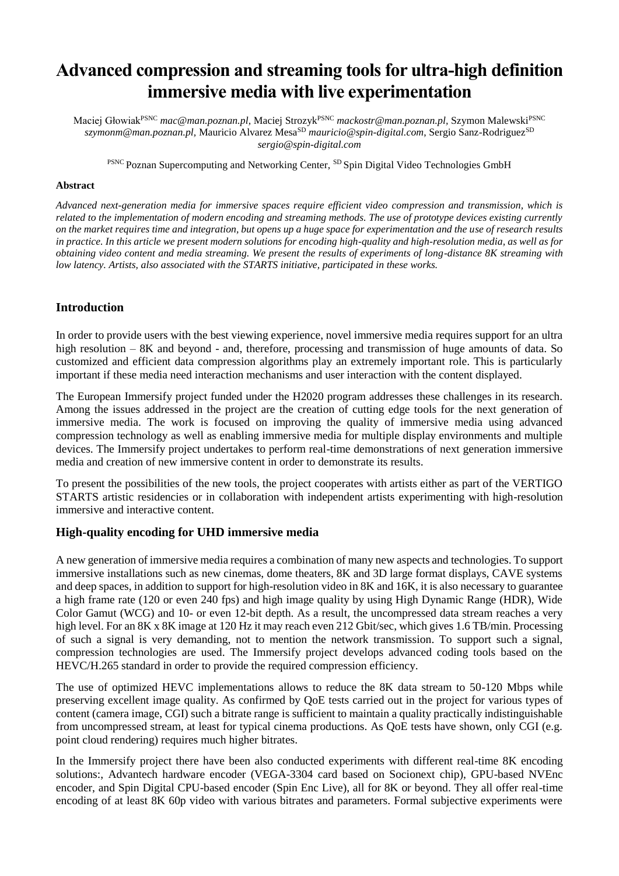# **Advanced compression and streaming tools for ultra-high definition immersive media with live experimentation**

Maciej GłowiakPSNC *mac@man.poznan.pl,* Maciej StrozykPSNC *mackostr@man.poznan.pl,* Szymon MalewskiPSNC *szymonm@man.poznan.pl,* Mauricio Alvarez MesaSD *mauricio@spin-digital.com*, Sergio Sanz-RodriguezSD *sergio@spin-digital.com*

PSNC Poznan Supercomputing and Networking Center, SD Spin Digital Video Technologies GmbH

#### **Abstract**

*Advanced next-generation media for immersive spaces require efficient video compression and transmission, which is related to the implementation of modern encoding and streaming methods. The use of prototype devices existing currently on the market requires time and integration, but opens up a huge space for experimentation and the use of research results in practice. In this article we present modern solutions for encoding high-quality and high-resolution media, as well as for obtaining video content and media streaming. We present the results of experiments of long-distance 8K streaming with low latency. Artists, also associated with the STARTS initiative, participated in these works.*

## **Introduction**

In order to provide users with the best viewing experience, novel immersive media requires support for an ultra high resolution – 8K and beyond - and, therefore, processing and transmission of huge amounts of data. So customized and efficient data compression algorithms play an extremely important role. This is particularly important if these media need interaction mechanisms and user interaction with the content displayed.

The European Immersify project funded under the H2020 program addresses these challenges in its research. Among the issues addressed in the project are the creation of cutting edge tools for the next generation of immersive media. The work is focused on improving the quality of immersive media using advanced compression technology as well as enabling immersive media for multiple display environments and multiple devices. The Immersify project undertakes to perform real-time demonstrations of next generation immersive media and creation of new immersive content in order to demonstrate its results.

To present the possibilities of the new tools, the project cooperates with artists either as part of the VERTIGO STARTS artistic residencies or in collaboration with independent artists experimenting with high-resolution immersive and interactive content.

## **High-quality encoding for UHD immersive media**

A new generation of immersive media requires a combination of many new aspects and technologies. To support immersive installations such as new cinemas, dome theaters, 8K and 3D large format displays, CAVE systems and deep spaces, in addition to support for high-resolution video in 8K and 16K, it is also necessary to guarantee a high frame rate (120 or even 240 fps) and high image quality by using High Dynamic Range (HDR), Wide Color Gamut (WCG) and 10- or even 12-bit depth. As a result, the uncompressed data stream reaches a very high level. For an 8K x 8K image at 120 Hz it may reach even 212 Gbit/sec, which gives 1.6 TB/min. Processing of such a signal is very demanding, not to mention the network transmission. To support such a signal, compression technologies are used. The Immersify project develops advanced coding tools based on the HEVC/H.265 standard in order to provide the required compression efficiency.

The use of optimized HEVC implementations allows to reduce the 8K data stream to 50-120 Mbps while preserving excellent image quality. As confirmed by QoE tests carried out in the project for various types of content (camera image, CGI) such a bitrate range is sufficient to maintain a quality practically indistinguishable from uncompressed stream, at least for typical cinema productions. As QoE tests have shown, only CGI (e.g. point cloud rendering) requires much higher bitrates.

In the Immersify project there have been also conducted experiments with different real-time 8K encoding solutions:, Advantech hardware encoder (VEGA-3304 card based on Socionext chip), GPU-based NVEnc encoder, and Spin Digital CPU-based encoder (Spin Enc Live), all for 8K or beyond. They all offer real-time encoding of at least 8K 60p video with various bitrates and parameters. Formal subjective experiments were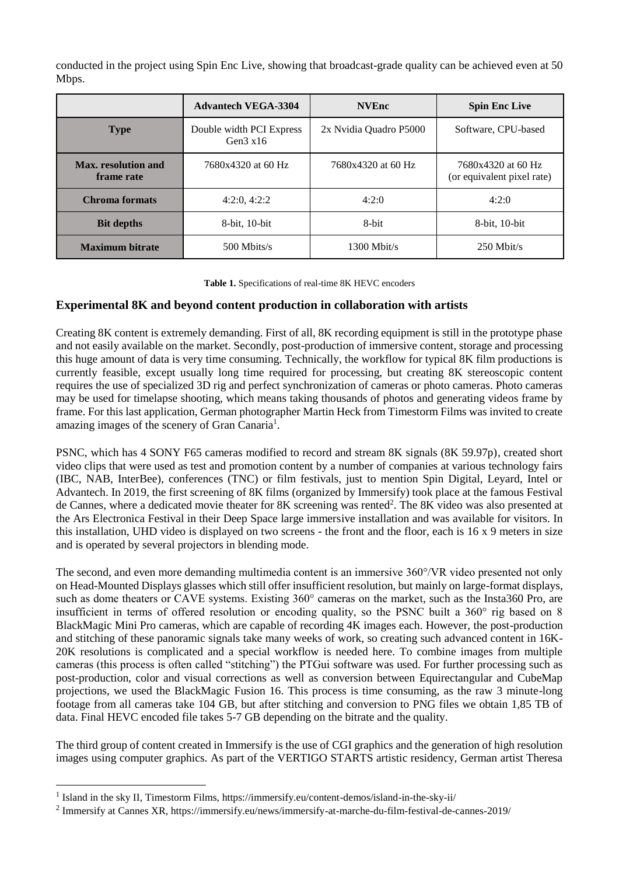conducted in the project using Spin Enc Live, showing that broadcast-grade quality can be achieved even at 50 Mbps.

|                                   | <b>Advantech VEGA-3304</b>                    | <b>NVEnc</b>           | <b>Spin Enc Live</b>                             |
|-----------------------------------|-----------------------------------------------|------------------------|--------------------------------------------------|
| <b>Type</b>                       | Double width PCI Express<br>Gen $3 \times 16$ | 2x Nvidia Quadro P5000 | Software, CPU-based                              |
| Max. resolution and<br>frame rate | 7680x4320 at 60 Hz                            | 7680x4320 at 60 Hz     | 7680x4320 at 60 Hz<br>(or equivalent pixel rate) |
| Chroma formats                    | 4:2:0, 4:2:2                                  | 4:2:0                  | 4:2:0                                            |
| <b>Bit depths</b>                 | 8-bit, 10-bit                                 | 8-bit                  | 8-bit, 10-bit                                    |
| <b>Maximum bitrate</b>            | 500 Mbits/s                                   | $1300$ Mbit/s          | $250$ Mbit/s                                     |

**Table 1.** Specifications of real-time 8K HEVC encoders

# **Experimental 8K and beyond content production in collaboration with artists**

Creating 8K content is extremely demanding. First of all, 8K recording equipment is still in the prototype phase and not easily available on the market. Secondly, post-production of immersive content, storage and processing this huge amount of data is very time consuming. Technically, the workflow for typical 8K film productions is currently feasible, except usually long time required for processing, but creating 8K stereoscopic content requires the use of specialized 3D rig and perfect synchronization of cameras or photo cameras. Photo cameras may be used for timelapse shooting, which means taking thousands of photos and generating videos frame by frame. For this last application, German photographer Martin Heck from Timestorm Films was invited to create amazing images of the scenery of Gran Canaria<sup>1</sup>.

PSNC, which has 4 SONY F65 cameras modified to record and stream 8K signals (8K 59.97p), created short video clips that were used as test and promotion content by a number of companies at various technology fairs (IBC, NAB, InterBee), conferences (TNC) or film festivals, just to mention Spin Digital, Leyard, Intel or Advantech. In 2019, the first screening of 8K films (organized by Immersify) took place at the famous Festival de Cannes, where a dedicated movie theater for 8K screening was rented<sup>2</sup>. The 8K video was also presented at the Ars Electronica Festival in their Deep Space large immersive installation and was available for visitors. In this installation, UHD video is displayed on two screens - the front and the floor, each is 16 x 9 meters in size and is operated by several projectors in blending mode.

The second, and even more demanding multimedia content is an immersive 360°/VR video presented not only on Head-Mounted Displays glasses which still offer insufficient resolution, but mainly on large-format displays, such as dome theaters or CAVE systems. Existing 360° cameras on the market, such as the Insta360 Pro, are insufficient in terms of offered resolution or encoding quality, so the PSNC built a 360° rig based on 8 BlackMagic Mini Pro cameras, which are capable of recording 4K images each. However, the post-production and stitching of these panoramic signals take many weeks of work, so creating such advanced content in 16K-20K resolutions is complicated and a special workflow is needed here. To combine images from multiple cameras (this process is often called "stitching") the PTGui software was used. For further processing such as post-production, color and visual corrections as well as conversion between Equirectangular and CubeMap projections, we used the BlackMagic Fusion 16. This process is time consuming, as the raw 3 minute-long footage from all cameras take 104 GB, but after stitching and conversion to PNG files we obtain 1,85 TB of data. Final HEVC encoded file takes 5-7 GB depending on the bitrate and the quality.

The third group of content created in Immersify is the use of CGI graphics and the generation of high resolution images using computer graphics. As part of the VERTIGO STARTS artistic residency, German artist Theresa

 $\overline{a}$ 

<sup>&</sup>lt;sup>1</sup> Island in the sky II, Timestorm Films, https://immersify.eu/content-demos/island-in-the-sky-ii/

<sup>&</sup>lt;sup>2</sup> Immersify at Cannes XR, https://immersify.eu/news/immersify-at-marche-du-film-festival-de-cannes-2019/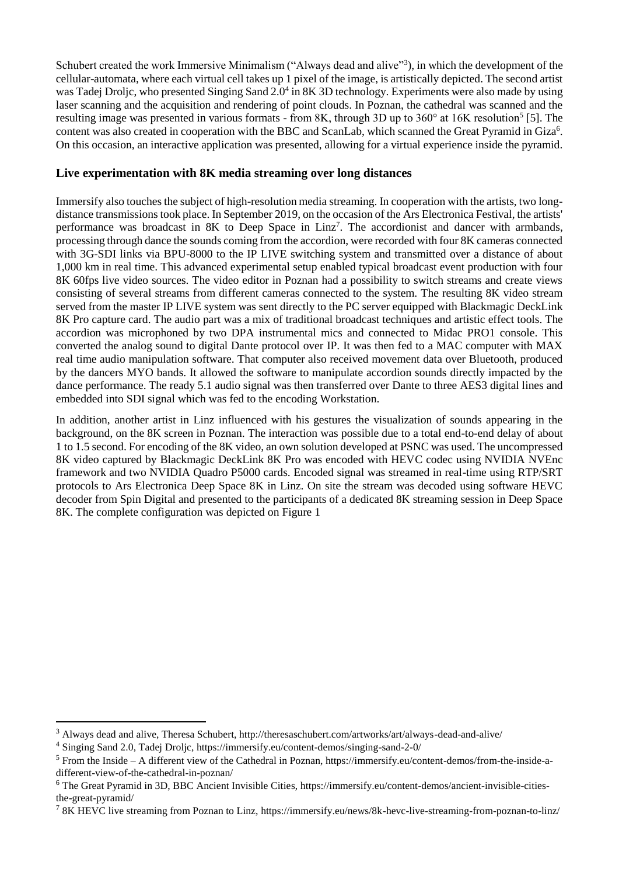Schubert created the work Immersive Minimalism ("Always dead and alive"<sup>3</sup>), in which the development of the cellular-automata, where each virtual cell takes up 1 pixel of the image, is artistically depicted. The second artist was Tadej Droljc, who presented Singing Sand 2.0<sup>4</sup> in 8K 3D technology. Experiments were also made by using laser scanning and the acquisition and rendering of point clouds. In Poznan, the cathedral was scanned and the resulting image was presented in various formats - from 8K, through 3D up to 360° at 16K resolution<sup>5</sup> [5]. The content was also created in cooperation with the BBC and ScanLab, which scanned the Great Pyramid in Giza<sup>6</sup>. On this occasion, an interactive application was presented, allowing for a virtual experience inside the pyramid.

## **Live experimentation with 8K media streaming over long distances**

Immersify also touches the subject of high-resolution media streaming. In cooperation with the artists, two longdistance transmissions took place. In September 2019, on the occasion of the Ars Electronica Festival, the artists' performance was broadcast in  $8K$  to Deep Space in Linz<sup>7</sup>. The accordionist and dancer with armbands, processing through dance the sounds coming from the accordion, were recorded with four 8K cameras connected with 3G-SDI links via BPU-8000 to the IP LIVE switching system and transmitted over a distance of about 1,000 km in real time. This advanced experimental setup enabled typical broadcast event production with four 8K 60fps live video sources. The video editor in Poznan had a possibility to switch streams and create views consisting of several streams from different cameras connected to the system. The resulting 8K video stream served from the master IP LIVE system was sent directly to the PC server equipped with Blackmagic DeckLink 8K Pro capture card. The audio part was a mix of traditional broadcast techniques and artistic effect tools. The accordion was microphoned by two DPA instrumental mics and connected to Midac PRO1 console. This converted the analog sound to digital Dante protocol over IP. It was then fed to a MAC computer with MAX real time audio manipulation software. That computer also received movement data over Bluetooth, produced by the dancers MYO bands. It allowed the software to manipulate accordion sounds directly impacted by the dance performance. The ready 5.1 audio signal was then transferred over Dante to three AES3 digital lines and embedded into SDI signal which was fed to the encoding Workstation.

In addition, another artist in Linz influenced with his gestures the visualization of sounds appearing in the background, on the 8K screen in Poznan. The interaction was possible due to a total end-to-end delay of about 1 to 1.5 second. For encoding of the 8K video, an own solution developed at PSNC was used. The uncompressed 8K video captured by Blackmagic DeckLink 8K Pro was encoded with HEVC codec using NVIDIA NVEnc framework and two NVIDIA Quadro P5000 cards. Encoded signal was streamed in real-time using RTP/SRT protocols to Ars Electronica Deep Space 8K in Linz. On site the stream was decoded using software HEVC decoder from Spin Digital and presented to the participants of a dedicated 8K streaming session in Deep Space 8K. The complete configuration was depicted on Figure 1

l

<sup>3</sup> Always dead and alive, Theresa Schubert, http://theresaschubert.com/artworks/art/always-dead-and-alive/

<sup>4</sup> Singing Sand 2.0, Tadej Droljc, https://immersify.eu/content-demos/singing-sand-2-0/

 $<sup>5</sup>$  From the Inside – A different view of the Cathedral in Poznan, https://immersify.eu/content-demos/from-the-inside-a-</sup> different-view-of-the-cathedral-in-poznan/

<sup>6</sup> The Great Pyramid in 3D, BBC Ancient Invisible Cities, https://immersify.eu/content-demos/ancient-invisible-citiesthe-great-pyramid/

<sup>&</sup>lt;sup>7</sup> 8K HEVC live streaming from Poznan to Linz, https://immersify.eu/news/8k-hevc-live-streaming-from-poznan-to-linz/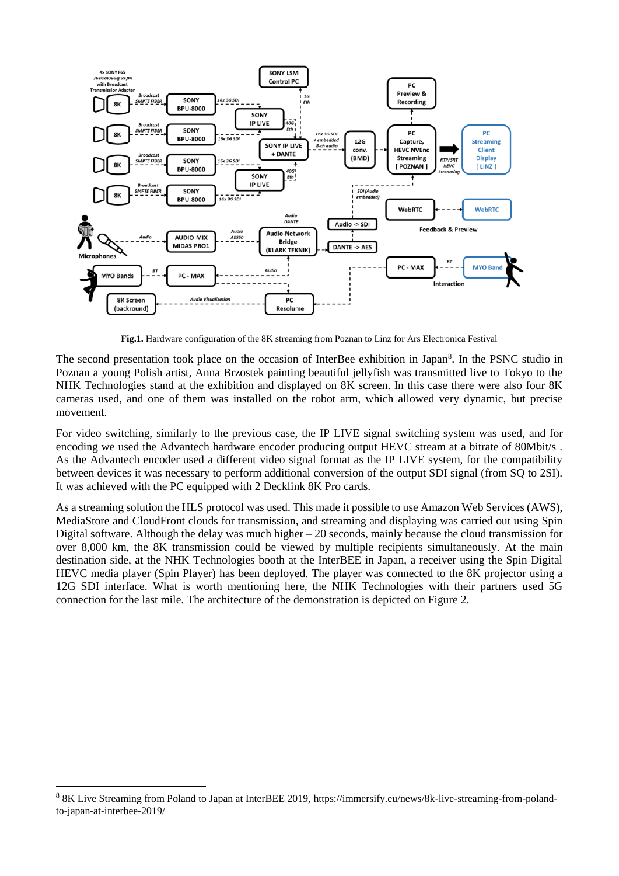

**Fig.1.** Hardware configuration of the 8K streaming from Poznan to Linz for Ars Electronica Festival

The second presentation took place on the occasion of InterBee exhibition in Japan<sup>8</sup>. In the PSNC studio in Poznan a young Polish artist, Anna Brzostek painting beautiful jellyfish was transmitted live to Tokyo to the NHK Technologies stand at the exhibition and displayed on 8K screen. In this case there were also four 8K cameras used, and one of them was installed on the robot arm, which allowed very dynamic, but precise movement.

For video switching, similarly to the previous case, the IP LIVE signal switching system was used, and for encoding we used the Advantech hardware encoder producing output HEVC stream at a bitrate of 80Mbit/s. As the Advantech encoder used a different video signal format as the IP LIVE system, for the compatibility between devices it was necessary to perform additional conversion of the output SDI signal (from SQ to 2SI). It was achieved with the PC equipped with 2 Decklink 8K Pro cards.

As a streaming solution the HLS protocol was used. This made it possible to use Amazon Web Services (AWS), MediaStore and CloudFront clouds for transmission, and streaming and displaying was carried out using Spin Digital software. Although the delay was much higher  $-20$  seconds, mainly because the cloud transmission for over 8,000 km, the 8K transmission could be viewed by multiple recipients simultaneously. At the main destination side, at the NHK Technologies booth at the InterBEE in Japan, a receiver using the Spin Digital HEVC media player (Spin Player) has been deployed. The player was connected to the 8K projector using a 12G SDI interface. What is worth mentioning here, the NHK Technologies with their partners used 5G connection for the last mile. The architecture of the demonstration is depicted on Figure 2.

l

<sup>&</sup>lt;sup>8</sup> 8K Live Streaming from Poland to Japan at InterBEE 2019, https://immersify.eu/news/8k-live-streaming-from-polandto-japan-at-interbee-2019/